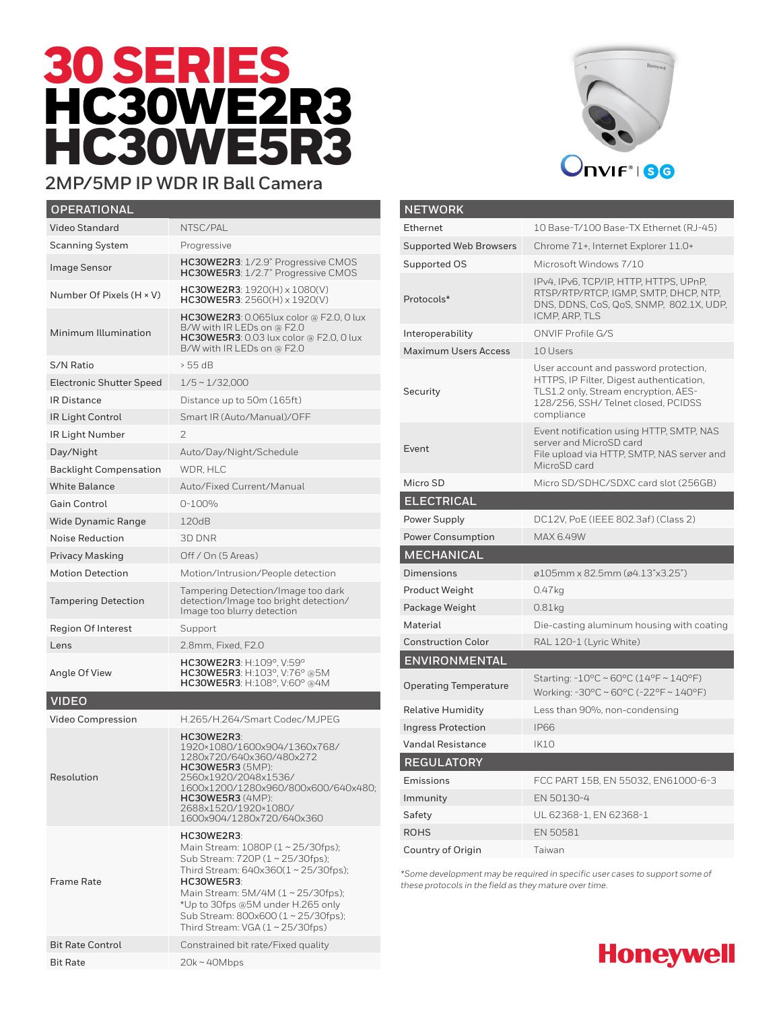# 30 SERIES HC30WE2R3 HC30WE5R3



#### **2MP/5MP IP WDR IR Ball Camera**

| <b>OPERATIONAL</b>              |                                                                                                                                                                                                                                                                                              |
|---------------------------------|----------------------------------------------------------------------------------------------------------------------------------------------------------------------------------------------------------------------------------------------------------------------------------------------|
| Video Standard                  | NTSC/PAL                                                                                                                                                                                                                                                                                     |
| <b>Scanning System</b>          | Progressive                                                                                                                                                                                                                                                                                  |
| <b>Image Sensor</b>             | HC30WE2R3: 1/2.9" Progressive CMOS<br>HC30WE5R3: 1/2.7" Progressive CMOS                                                                                                                                                                                                                     |
| Number Of Pixels (H × V)        | $HC30WE2R3: 1920(H) \times 1080(V)$<br>$HC30WE5R3: 2560(H) \times 1920(V)$                                                                                                                                                                                                                   |
| Minimum Illumination            | <b>HC30WE2R3</b> : 0.065lux color @ F2.0, 0 lux<br>B/W with IR LEDs on @ F2.0<br>HC30WE5R3: 0.03 lux color @ F2.0, 0 lux<br>B/W with IR LEDs on @ F2.0                                                                                                                                       |
| S/N Ratio                       | > 55 dB                                                                                                                                                                                                                                                                                      |
| <b>Electronic Shutter Speed</b> | $1/5 \sim 1/32,000$                                                                                                                                                                                                                                                                          |
| IR Distance                     | Distance up to 50m (165ft)                                                                                                                                                                                                                                                                   |
| IR Light Control                | Smart IR (Auto/Manual)/OFF                                                                                                                                                                                                                                                                   |
| IR Light Number                 | 2                                                                                                                                                                                                                                                                                            |
| Day/Night                       | Auto/Day/Night/Schedule                                                                                                                                                                                                                                                                      |
| <b>Backlight Compensation</b>   | WDR, HLC                                                                                                                                                                                                                                                                                     |
| <b>White Balance</b>            | Auto/Fixed Current/Manual                                                                                                                                                                                                                                                                    |
| <b>Gain Control</b>             | $0 - 100%$                                                                                                                                                                                                                                                                                   |
| <b>Wide Dynamic Range</b>       | 120dB                                                                                                                                                                                                                                                                                        |
| Noise Reduction                 | 3D DNR                                                                                                                                                                                                                                                                                       |
| <b>Privacy Masking</b>          | Off / On (5 Areas)                                                                                                                                                                                                                                                                           |
| <b>Motion Detection</b>         | Motion/Intrusion/People detection                                                                                                                                                                                                                                                            |
| <b>Tampering Detection</b>      | Tampering Detection/Image too dark<br>detection/Image too bright detection/<br>Image too blurry detection                                                                                                                                                                                    |
| <b>Region Of Interest</b>       | Support                                                                                                                                                                                                                                                                                      |
| Lens                            | 2.8mm, Fixed, F2.0                                                                                                                                                                                                                                                                           |
| Angle Of View                   | HC30WE2R3: H:109°, V:59°<br>HC30WE5R3: H:103°, V:76° @5M<br>HC30WE5R3: H:108°, V:60° @4M                                                                                                                                                                                                     |
| <b>VIDEO</b>                    |                                                                                                                                                                                                                                                                                              |
| Video Compression               | H.265/H.264/Smart Codec/MJPEG                                                                                                                                                                                                                                                                |
| Resolution                      | HC30WE2R3:<br>1920×1080/1600x904/1360x768/<br>1280x720/640x360/480x272<br><b>HC30WE5R3</b> (5MP):<br>2560x1920/2048x1536/<br>1600x1200/1280x960/800x600/640x480;<br><b>HC30WE5R3</b> (4MP):<br>2688x1520/1920×1080/<br>1600x904/1280x720/640x360                                             |
| <b>Frame Rate</b>               | HC30WE2R3:<br>Main Stream: 1080P (1~25/30fps);<br>Sub Stream: 720P (1~25/30fps);<br>Third Stream: 640x360(1~25/30fps);<br>HC30WE5R3:<br>Main Stream: 5M/4M (1~25/30fps);<br>*Up to 30fps @5M under H.265 only<br>Sub Stream: 800x600 (1~25/30fps);<br>Third Stream: $VGA (1 \sim 25/30$ fps) |
| <b>Bit Rate Control</b>         | Constrained bit rate/Fixed quality                                                                                                                                                                                                                                                           |
| <b>Bit Rate</b>                 | $20k \sim 40Mbps$                                                                                                                                                                                                                                                                            |

| 10 Base-T/100 Base-TX Ethernet (RJ-45)                                                                                                                                        |
|-------------------------------------------------------------------------------------------------------------------------------------------------------------------------------|
| Chrome 71+, Internet Explorer 11.0+                                                                                                                                           |
| Microsoft Windows 7/10                                                                                                                                                        |
| IPv4, IPv6, TCP/IP, HTTP, HTTPS, UPnP,<br>RTSP/RTP/RTCP, IGMP, SMTP, DHCP, NTP,<br>DNS, DDNS, CoS, QoS, SNMP, 802.1X, UDP,<br><b>ICMP, ARP, TLS</b>                           |
| ONVIF Profile G/S                                                                                                                                                             |
| 10 Users                                                                                                                                                                      |
| User account and password protection,<br>HTTPS, IP Filter, Digest authentication,<br>TLS1.2 only, Stream encryption, AES-<br>128/256, SSH/Telnet closed, PCIDSS<br>compliance |
| Event notification using HTTP, SMTP, NAS<br>server and MicroSD card<br>File upload via HTTP, SMTP, NAS server and<br>MicroSD card                                             |
| Micro SD/SDHC/SDXC card slot (256GB)                                                                                                                                          |
|                                                                                                                                                                               |
| DC12V, PoE (IEEE 802.3af) (Class 2)                                                                                                                                           |
| MAX 6.49W                                                                                                                                                                     |
|                                                                                                                                                                               |
| ø105mm x 82.5mm (ø4.13"x3.25")                                                                                                                                                |
|                                                                                                                                                                               |
| 0.47kg                                                                                                                                                                        |
| $0.81$ kg                                                                                                                                                                     |
| Die-casting aluminum housing with coating                                                                                                                                     |
| RAL 120-1 (Lyric White)                                                                                                                                                       |
|                                                                                                                                                                               |
| Starting: -10°C ~ 60°C (14°F ~ 140°F)<br>Working: -30°C ~ 60°C (-22°F ~ 140°F)                                                                                                |
| Less than 90%, non-condensing                                                                                                                                                 |
| <b>IP66</b>                                                                                                                                                                   |
| <b>IK10</b>                                                                                                                                                                   |
|                                                                                                                                                                               |
| FCC PART 15B, EN 55032, EN61000-6-3                                                                                                                                           |
| EN 50130-4                                                                                                                                                                    |
| UL 62368-1, EN 62368-1                                                                                                                                                        |
| EN 50581                                                                                                                                                                      |
|                                                                                                                                                                               |

*\*Some development may be required in specific user cases to support some of these protocols in the field as they mature over time.*